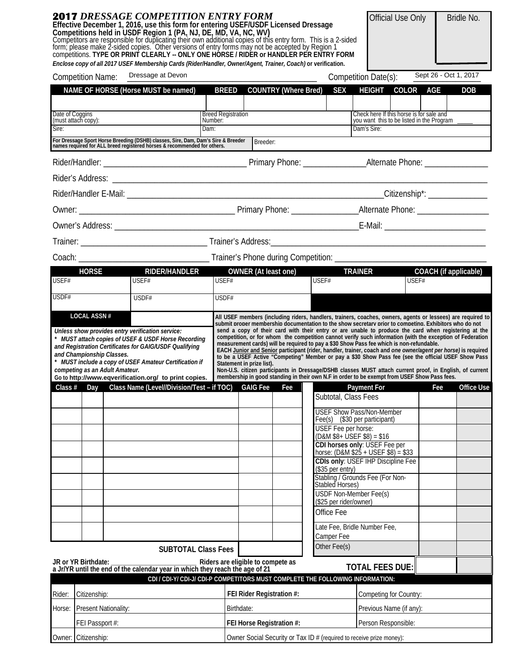|                 | <b>2017</b> DRESSAGE COMPETITION ENTRY FORM<br>Effective December 1, 2016, use this form for entering USEF/USDF Licensed Dressage<br>Competitions held in USDF Region 1 (PA, NJ, DE, MD, VA, NC, WV)<br>Competitors are responsible for duplicating their own additional copies of this entry form. This is a 2-sided<br>form; please make 2-sided copies. Other versions of entry forms may not be accepted by Region 1<br>competitions. TYPE OR PRINT CLEARLY -- ONLY ONE HORSE / RIDER or HANDLER PER ENTRY FORM<br>Enclose copy of all 2017 USEF Membership Cards (Rider/Handler, Owner/Agent, Trainer, Coach) or verification. |                                                                                | Official Use Only<br>Bridle No.                                                                                                                                                                                                                                                                                                                                                                                                                                                                                              |  |  |  |  |  |  |
|-----------------|-------------------------------------------------------------------------------------------------------------------------------------------------------------------------------------------------------------------------------------------------------------------------------------------------------------------------------------------------------------------------------------------------------------------------------------------------------------------------------------------------------------------------------------------------------------------------------------------------------------------------------------|--------------------------------------------------------------------------------|------------------------------------------------------------------------------------------------------------------------------------------------------------------------------------------------------------------------------------------------------------------------------------------------------------------------------------------------------------------------------------------------------------------------------------------------------------------------------------------------------------------------------|--|--|--|--|--|--|
|                 | Dressage at Devon<br><b>Competition Name:</b>                                                                                                                                                                                                                                                                                                                                                                                                                                                                                                                                                                                       |                                                                                | Sept 26 - Oct 1, 2017<br>Competition Date(s):                                                                                                                                                                                                                                                                                                                                                                                                                                                                                |  |  |  |  |  |  |
|                 | NAME OF HORSE (Horse MUST be named)                                                                                                                                                                                                                                                                                                                                                                                                                                                                                                                                                                                                 | BREED COUNTRY (Where Bred)                                                     | <b>SEX</b><br><b>HEIGHT</b><br>COLOR AGE<br><b>DOB</b>                                                                                                                                                                                                                                                                                                                                                                                                                                                                       |  |  |  |  |  |  |
| Date of Coggins |                                                                                                                                                                                                                                                                                                                                                                                                                                                                                                                                                                                                                                     | <b>Breed Registration</b>                                                      | Check here If this horse is for sale and                                                                                                                                                                                                                                                                                                                                                                                                                                                                                     |  |  |  |  |  |  |
| Sire:           | (must attach copy):                                                                                                                                                                                                                                                                                                                                                                                                                                                                                                                                                                                                                 | Number:<br>Dam:                                                                | you want this to be listed in the Program<br>Dam's Sire:                                                                                                                                                                                                                                                                                                                                                                                                                                                                     |  |  |  |  |  |  |
|                 | For Dressage Sport Horse Breeding (DSHB) classes, Sire, Dam, Dam's Sire & Breeder<br>names required for ALL breed registered horses & recommended for others.                                                                                                                                                                                                                                                                                                                                                                                                                                                                       | Breeder:                                                                       |                                                                                                                                                                                                                                                                                                                                                                                                                                                                                                                              |  |  |  |  |  |  |
|                 |                                                                                                                                                                                                                                                                                                                                                                                                                                                                                                                                                                                                                                     |                                                                                |                                                                                                                                                                                                                                                                                                                                                                                                                                                                                                                              |  |  |  |  |  |  |
|                 |                                                                                                                                                                                                                                                                                                                                                                                                                                                                                                                                                                                                                                     |                                                                                |                                                                                                                                                                                                                                                                                                                                                                                                                                                                                                                              |  |  |  |  |  |  |
|                 |                                                                                                                                                                                                                                                                                                                                                                                                                                                                                                                                                                                                                                     |                                                                                |                                                                                                                                                                                                                                                                                                                                                                                                                                                                                                                              |  |  |  |  |  |  |
|                 |                                                                                                                                                                                                                                                                                                                                                                                                                                                                                                                                                                                                                                     |                                                                                |                                                                                                                                                                                                                                                                                                                                                                                                                                                                                                                              |  |  |  |  |  |  |
|                 |                                                                                                                                                                                                                                                                                                                                                                                                                                                                                                                                                                                                                                     |                                                                                |                                                                                                                                                                                                                                                                                                                                                                                                                                                                                                                              |  |  |  |  |  |  |
|                 |                                                                                                                                                                                                                                                                                                                                                                                                                                                                                                                                                                                                                                     |                                                                                |                                                                                                                                                                                                                                                                                                                                                                                                                                                                                                                              |  |  |  |  |  |  |
|                 |                                                                                                                                                                                                                                                                                                                                                                                                                                                                                                                                                                                                                                     |                                                                                |                                                                                                                                                                                                                                                                                                                                                                                                                                                                                                                              |  |  |  |  |  |  |
|                 |                                                                                                                                                                                                                                                                                                                                                                                                                                                                                                                                                                                                                                     |                                                                                |                                                                                                                                                                                                                                                                                                                                                                                                                                                                                                                              |  |  |  |  |  |  |
| USEF#           | RIDER/HANDLER<br><b>HORSE</b><br>USEF#                                                                                                                                                                                                                                                                                                                                                                                                                                                                                                                                                                                              | OWNER (At least one)<br>USEF#                                                  | COACH (if applicable)<br><b>TRAINER</b><br>USEF#                                                                                                                                                                                                                                                                                                                                                                                                                                                                             |  |  |  |  |  |  |
|                 |                                                                                                                                                                                                                                                                                                                                                                                                                                                                                                                                                                                                                                     |                                                                                | USEF#                                                                                                                                                                                                                                                                                                                                                                                                                                                                                                                        |  |  |  |  |  |  |
| USDF#           | USDF#                                                                                                                                                                                                                                                                                                                                                                                                                                                                                                                                                                                                                               | USDF#                                                                          |                                                                                                                                                                                                                                                                                                                                                                                                                                                                                                                              |  |  |  |  |  |  |
|                 | * MUST attach copies of USEF & USDF Horse Recording<br>and Registration Certificates for GAIG/USDF Qualifying<br>and Championship Classes.<br>* MUST include a copy of USEF Amateur Certification if<br>competing as an Adult Amateur.<br>Go to http://www.eqverification.org/ to print copies.                                                                                                                                                                                                                                                                                                                                     | Statement in prize list).                                                      | measurement cards) will be required to pay a \$30 Show Pass fee which is non-refundable.<br>EACH Junior and Senior participant (rider, handler, trainer, coach and one owner/agent per horse) is required<br>to be a USEF Active "Competing" Member or pay a \$30 Show Pass fee (see the official USEF Show Pass<br>Non-U.S. citizen participants in Dressage/DSHB classes MUST attach current proof, in English, of current<br>membership in good standing in their own N.F in order to be exempt from USEF Show Pass fees. |  |  |  |  |  |  |
|                 |                                                                                                                                                                                                                                                                                                                                                                                                                                                                                                                                                                                                                                     |                                                                                | Class # Day Class Name (Level//Division/Test - if TOC) GAIG Fee Fee Fee Payment For<br>Office Use<br>Fee<br>Subtotal, Class Fees                                                                                                                                                                                                                                                                                                                                                                                             |  |  |  |  |  |  |
|                 |                                                                                                                                                                                                                                                                                                                                                                                                                                                                                                                                                                                                                                     |                                                                                | <b>USEF Show Pass/Non-Member</b><br>Fee(s) (\$30 per participant)                                                                                                                                                                                                                                                                                                                                                                                                                                                            |  |  |  |  |  |  |
|                 |                                                                                                                                                                                                                                                                                                                                                                                                                                                                                                                                                                                                                                     |                                                                                | <b>USEF</b> Fee per horse:<br>$(D&M $8+ \text{USEF} $8) = $16$                                                                                                                                                                                                                                                                                                                                                                                                                                                               |  |  |  |  |  |  |
|                 |                                                                                                                                                                                                                                                                                                                                                                                                                                                                                                                                                                                                                                     |                                                                                | CDI horses only: USEF Fee per<br>horse: $(D$ &M \$25 + USEF \$8)'= \$33                                                                                                                                                                                                                                                                                                                                                                                                                                                      |  |  |  |  |  |  |
|                 |                                                                                                                                                                                                                                                                                                                                                                                                                                                                                                                                                                                                                                     |                                                                                | CDIs only: USEF IHP Discipline Fee                                                                                                                                                                                                                                                                                                                                                                                                                                                                                           |  |  |  |  |  |  |
|                 |                                                                                                                                                                                                                                                                                                                                                                                                                                                                                                                                                                                                                                     |                                                                                | (\$35 per entry)<br>Stabling / Grounds Fee (For Non-                                                                                                                                                                                                                                                                                                                                                                                                                                                                         |  |  |  |  |  |  |
|                 |                                                                                                                                                                                                                                                                                                                                                                                                                                                                                                                                                                                                                                     |                                                                                | Stabled Horses)<br><b>USDF Non-Member Fee(s)</b>                                                                                                                                                                                                                                                                                                                                                                                                                                                                             |  |  |  |  |  |  |
|                 |                                                                                                                                                                                                                                                                                                                                                                                                                                                                                                                                                                                                                                     |                                                                                | (\$25 per rider/owner)                                                                                                                                                                                                                                                                                                                                                                                                                                                                                                       |  |  |  |  |  |  |
|                 |                                                                                                                                                                                                                                                                                                                                                                                                                                                                                                                                                                                                                                     |                                                                                | Office Fee                                                                                                                                                                                                                                                                                                                                                                                                                                                                                                                   |  |  |  |  |  |  |
|                 |                                                                                                                                                                                                                                                                                                                                                                                                                                                                                                                                                                                                                                     |                                                                                | Late Fee, Bridle Number Fee,<br>Camper Fee                                                                                                                                                                                                                                                                                                                                                                                                                                                                                   |  |  |  |  |  |  |
|                 |                                                                                                                                                                                                                                                                                                                                                                                                                                                                                                                                                                                                                                     | <b>SUBTOTAL Class Fees</b>                                                     | Other Fee(s)                                                                                                                                                                                                                                                                                                                                                                                                                                                                                                                 |  |  |  |  |  |  |
|                 | JR or YR Birthdate:<br>a Jr/YR until the end of the calendar year in which they reach the age of 21                                                                                                                                                                                                                                                                                                                                                                                                                                                                                                                                 | Riders are eligible to compete as                                              | <b>TOTAL FEES DUE:</b>                                                                                                                                                                                                                                                                                                                                                                                                                                                                                                       |  |  |  |  |  |  |
|                 |                                                                                                                                                                                                                                                                                                                                                                                                                                                                                                                                                                                                                                     | CDI / CDI-Y/ CDI-J/ CDI-P COMPETITORS MUST COMPLETE THE FOLLOWING INFORMATION: |                                                                                                                                                                                                                                                                                                                                                                                                                                                                                                                              |  |  |  |  |  |  |
| Rider:          | Citizenship:                                                                                                                                                                                                                                                                                                                                                                                                                                                                                                                                                                                                                        | FEI Rider Registration #:                                                      | Competing for Country:                                                                                                                                                                                                                                                                                                                                                                                                                                                                                                       |  |  |  |  |  |  |
| Horse:          | Present Nationality:                                                                                                                                                                                                                                                                                                                                                                                                                                                                                                                                                                                                                | Birthdate:                                                                     | Previous Name (if any):                                                                                                                                                                                                                                                                                                                                                                                                                                                                                                      |  |  |  |  |  |  |
|                 | FEI Passport #:                                                                                                                                                                                                                                                                                                                                                                                                                                                                                                                                                                                                                     | FEI Horse Registration #:                                                      | Person Responsible:                                                                                                                                                                                                                                                                                                                                                                                                                                                                                                          |  |  |  |  |  |  |
|                 | Owner: Citizenship:                                                                                                                                                                                                                                                                                                                                                                                                                                                                                                                                                                                                                 |                                                                                | Owner Social Security or Tax ID # (required to receive prize money):                                                                                                                                                                                                                                                                                                                                                                                                                                                         |  |  |  |  |  |  |